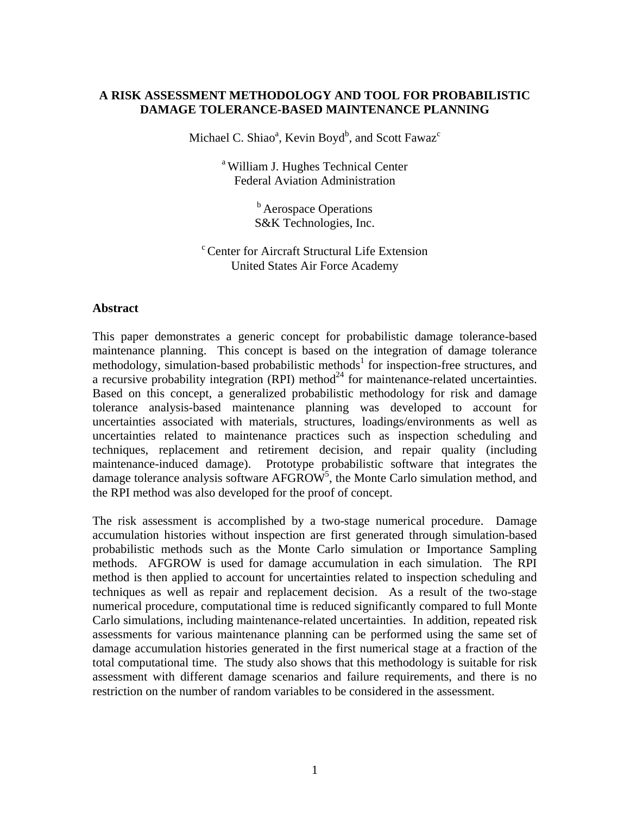# **A RISK ASSESSMENT METHODOLOGY AND TOOL FOR PROBABILISTIC DAMAGE TOLERANCE-BASED MAINTENANCE PLANNING**

Michael C. Shiao<sup>a</sup>, Kevin Boyd<sup>b</sup>, and Scott Fawaz<sup>c</sup>

a William J. Hughes Technical Center Federal Aviation Administration

> <sup>b</sup> Aerospace Operations S&K Technologies, Inc.

c Center for Aircraft Structural Life Extension United States Air Force Academy

## **Abstract**

This paper demonstrates a generic concept for probabilistic damage tolerance-based maintenance planning. This concept is based on the integration of damage tolerance methodology, simulation-based probabilistic methods<sup>1</sup> for inspection-free structures, and a recursive probability integration (RPI) method<sup>24</sup> for maintenance-related uncertainties. Based on this concept, a generalized probabilistic methodology for risk and damage tolerance analysis-based maintenance planning was developed to account for uncertainties associated with materials, structures, loadings/environments as well as uncertainties related to maintenance practices such as inspection scheduling and techniques, replacement and retirement decision, and repair quality (including maintenance-induced damage). Prototype probabilistic software that integrates the damage tolerance analysis software  $AFGROW^5$ , the Monte Carlo simulation method, and the RPI method was also developed for the proof of concept.

The risk assessment is accomplished by a two-stage numerical procedure. Damage accumulation histories without inspection are first generated through simulation-based probabilistic methods such as the Monte Carlo simulation or Importance Sampling methods. AFGROW is used for damage accumulation in each simulation. The RPI method is then applied to account for uncertainties related to inspection scheduling and techniques as well as repair and replacement decision. As a result of the two-stage numerical procedure, computational time is reduced significantly compared to full Monte Carlo simulations, including maintenance-related uncertainties. In addition, repeated risk assessments for various maintenance planning can be performed using the same set of damage accumulation histories generated in the first numerical stage at a fraction of the total computational time. The study also shows that this methodology is suitable for risk assessment with different damage scenarios and failure requirements, and there is no restriction on the number of random variables to be considered in the assessment.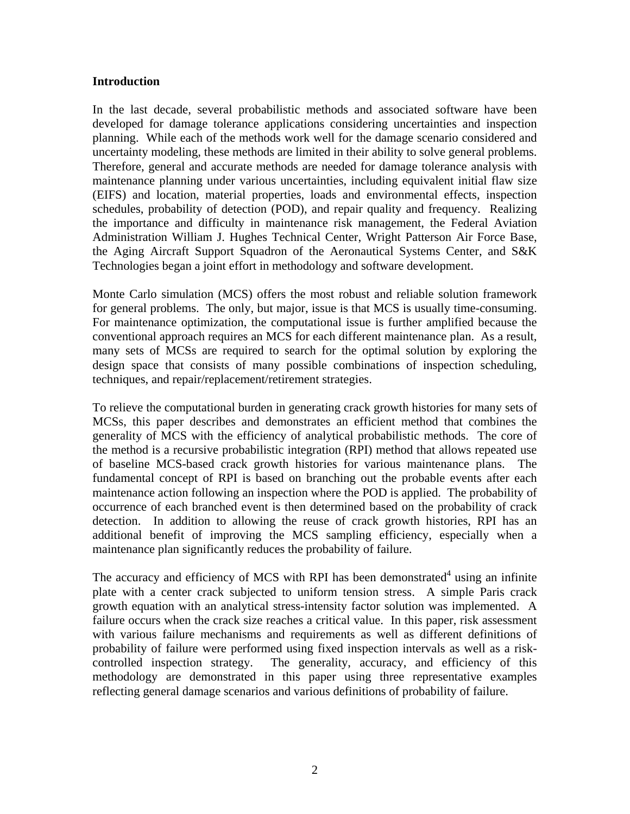## **Introduction**

In the last decade, several probabilistic methods and associated software have been developed for damage tolerance applications considering uncertainties and inspection planning. While each of the methods work well for the damage scenario considered and uncertainty modeling, these methods are limited in their ability to solve general problems. Therefore, general and accurate methods are needed for damage tolerance analysis with maintenance planning under various uncertainties, including equivalent initial flaw size (EIFS) and location, material properties, loads and environmental effects, inspection schedules, probability of detection (POD), and repair quality and frequency. Realizing the importance and difficulty in maintenance risk management, the Federal Aviation Administration William J. Hughes Technical Center, Wright Patterson Air Force Base, the Aging Aircraft Support Squadron of the Aeronautical Systems Center, and S&K Technologies began a joint effort in methodology and software development.

Monte Carlo simulation (MCS) offers the most robust and reliable solution framework for general problems. The only, but major, issue is that MCS is usually time-consuming. For maintenance optimization, the computational issue is further amplified because the conventional approach requires an MCS for each different maintenance plan. As a result, many sets of MCSs are required to search for the optimal solution by exploring the design space that consists of many possible combinations of inspection scheduling, techniques, and repair/replacement/retirement strategies.

To relieve the computational burden in generating crack growth histories for many sets of MCSs, this paper describes and demonstrates an efficient method that combines the generality of MCS with the efficiency of analytical probabilistic methods. The core of the method is a recursive probabilistic integration (RPI) method that allows repeated use of baseline MCS-based crack growth histories for various maintenance plans. The fundamental concept of RPI is based on branching out the probable events after each maintenance action following an inspection where the POD is applied. The probability of occurrence of each branched event is then determined based on the probability of crack detection. In addition to allowing the reuse of crack growth histories, RPI has an additional benefit of improving the MCS sampling efficiency, especially when a maintenance plan significantly reduces the probability of failure.

The accuracy and efficiency of MCS with RPI has been demonstrated<sup>4</sup> using an infinite plate with a center crack subjected to uniform tension stress. A simple Paris crack growth equation with an analytical stress-intensity factor solution was implemented. A failure occurs when the crack size reaches a critical value. In this paper, risk assessment with various failure mechanisms and requirements as well as different definitions of probability of failure were performed using fixed inspection intervals as well as a riskcontrolled inspection strategy. The generality, accuracy, and efficiency of this methodology are demonstrated in this paper using three representative examples reflecting general damage scenarios and various definitions of probability of failure.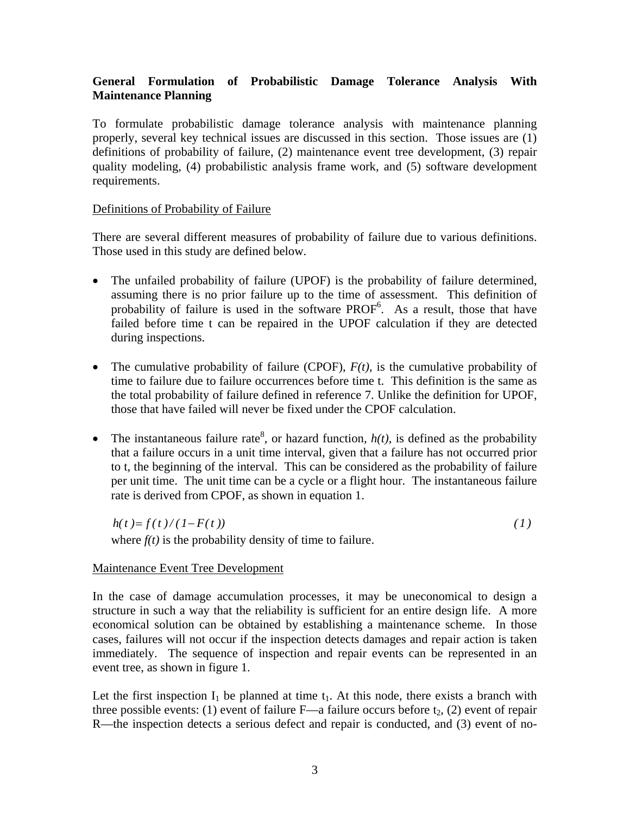# **General Formulation of Probabilistic Damage Tolerance Analysis With Maintenance Planning**

To formulate probabilistic damage tolerance analysis with maintenance planning properly, several key technical issues are discussed in this section. Those issues are (1) definitions of probability of failure, (2) maintenance event tree development, (3) repair quality modeling, (4) probabilistic analysis frame work, and (5) software development requirements.

# Definitions of Probability of Failure

There are several different measures of probability of failure due to various definitions. Those used in this study are defined below.

- The unfailed probability of failure (UPOF) is the probability of failure determined, assuming there is no prior failure up to the time of assessment. This definition of probability of failure is used in the software  $PROF<sup>6</sup>$ . As a result, those that have failed before time t can be repaired in the UPOF calculation if they are detected during inspections.
- The cumulative probability of failure (CPOF),  $F(t)$ , is the cumulative probability of time to failure due to failure occurrences before time t. This definition is the same as the total probability of failure defined in reference 7. Unlike the definition for UPOF, those that have failed will never be fixed under the CPOF calculation.
- The instantaneous failure rate<sup>8</sup>, or hazard function,  $h(t)$ , is defined as the probability that a failure occurs in a unit time interval, given that a failure has not occurred prior to t, the beginning of the interval. This can be considered as the probability of failure per unit time. The unit time can be a cycle or a flight hour. The instantaneous failure rate is derived from CPOF, as shown in equation 1.

 $h(t) = f(t)/(1 - F(t))$  (1) where  $f(t)$  is the probability density of time to failure.

# Maintenance Event Tree Development

In the case of damage accumulation processes, it may be uneconomical to design a structure in such a way that the reliability is sufficient for an entire design life. A more economical solution can be obtained by establishing a maintenance scheme. In those cases, failures will not occur if the inspection detects damages and repair action is taken immediately. The sequence of inspection and repair events can be represented in an event tree, as shown in figure 1.

Let the first inspection  $I_1$  be planned at time  $t_1$ . At this node, there exists a branch with three possible events: (1) event of failure  $F$ —a failure occurs before  $t_2$ , (2) event of repair R—the inspection detects a serious defect and repair is conducted, and (3) event of no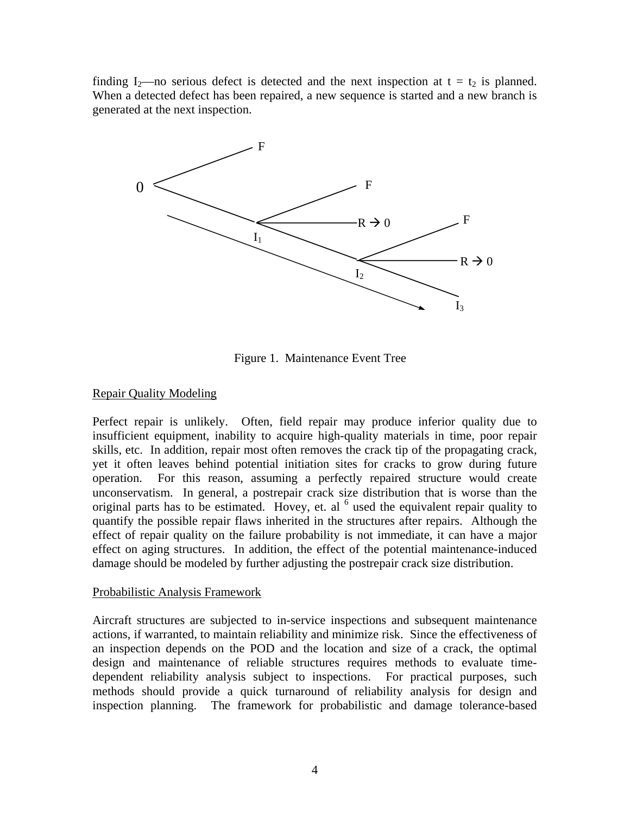finding I<sub>2</sub>—no serious defect is detected and the next inspection at  $t = t_2$  is planned. When a detected defect has been repaired, a new sequence is started and a new branch is generated at the next inspection.



Figure 1. Maintenance Event Tree

# Repair Quality Modeling

Perfect repair is unlikely. Often, field repair may produce inferior quality due to insufficient equipment, inability to acquire high-quality materials in time, poor repair skills, etc. In addition, repair most often removes the crack tip of the propagating crack, yet it often leaves behind potential initiation sites for cracks to grow during future operation. For this reason, assuming a perfectly repaired structure would create unconservatism. In general, a postrepair crack size distribution that is worse than the original parts has to be estimated. Hovey, et. al  $<sup>6</sup>$  used the equivalent repair quality to</sup> quantify the possible repair flaws inherited in the structures after repairs. Although the effect of repair quality on the failure probability is not immediate, it can have a major effect on aging structures. In addition, the effect of the potential maintenance-induced damage should be modeled by further adjusting the postrepair crack size distribution.

## Probabilistic Analysis Framework

Aircraft structures are subjected to in-service inspections and subsequent maintenance actions, if warranted, to maintain reliability and minimize risk. Since the effectiveness of an inspection depends on the POD and the location and size of a crack, the optimal design and maintenance of reliable structures requires methods to evaluate timedependent reliability analysis subject to inspections. For practical purposes, such methods should provide a quick turnaround of reliability analysis for design and inspection planning. The framework for probabilistic and damage tolerance-based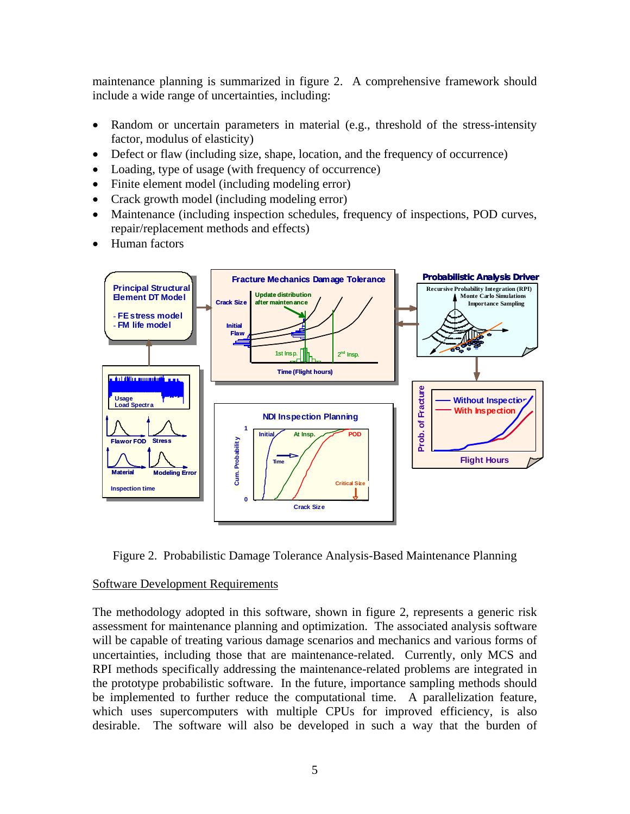maintenance planning is summarized in figure 2. A comprehensive framework should include a wide range of uncertainties, including:

- Random or uncertain parameters in material (e.g., threshold of the stress-intensity factor, modulus of elasticity)
- Defect or flaw (including size, shape, location, and the frequency of occurrence)
- Loading, type of usage (with frequency of occurrence)
- Finite element model (including modeling error)
- Crack growth model (including modeling error)
- Maintenance (including inspection schedules, frequency of inspections, POD curves, repair/replacement methods and effects)
- Human factors



Figure 2. Probabilistic Damage Tolerance Analysis-Based Maintenance Planning

## Software Development Requirements

The methodology adopted in this software, shown in figure 2, represents a generic risk assessment for maintenance planning and optimization. The associated analysis software will be capable of treating various damage scenarios and mechanics and various forms of uncertainties, including those that are maintenance-related. Currently, only MCS and RPI methods specifically addressing the maintenance-related problems are integrated in the prototype probabilistic software. In the future, importance sampling methods should be implemented to further reduce the computational time. A parallelization feature, which uses supercomputers with multiple CPUs for improved efficiency, is also desirable. The software will also be developed in such a way that the burden of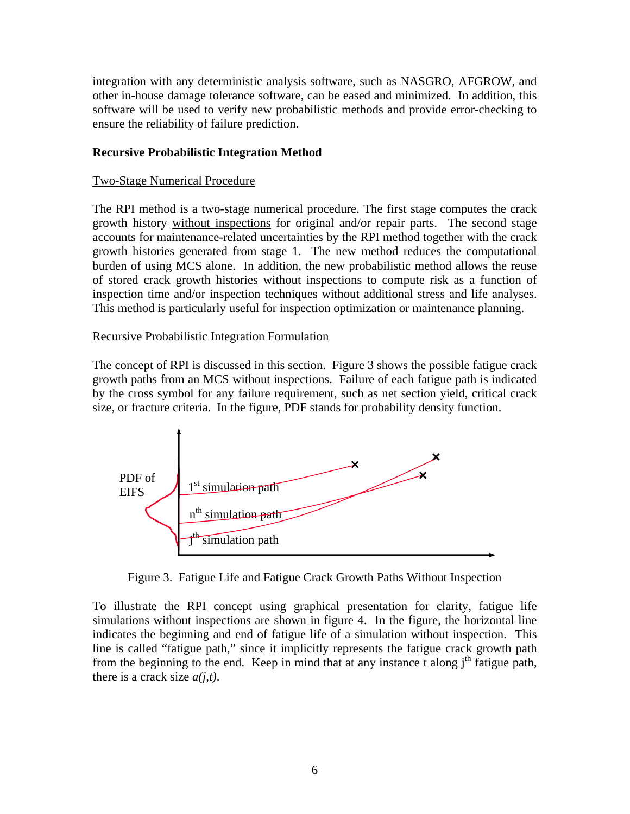integration with any deterministic analysis software, such as NASGRO, AFGROW, and other in-house damage tolerance software, can be eased and minimized. In addition, this software will be used to verify new probabilistic methods and provide error-checking to ensure the reliability of failure prediction.

# **Recursive Probabilistic Integration Method**

## Two-Stage Numerical Procedure

The RPI method is a two-stage numerical procedure. The first stage computes the crack growth history without inspections for original and/or repair parts. The second stage accounts for maintenance-related uncertainties by the RPI method together with the crack growth histories generated from stage 1. The new method reduces the computational burden of using MCS alone. In addition, the new probabilistic method allows the reuse of stored crack growth histories without inspections to compute risk as a function of inspection time and/or inspection techniques without additional stress and life analyses. This method is particularly useful for inspection optimization or maintenance planning.

# Recursive Probabilistic Integration Formulation

The concept of RPI is discussed in this section. Figure 3 shows the possible fatigue crack growth paths from an MCS without inspections. Failure of each fatigue path is indicated by the cross symbol for any failure requirement, such as net section yield, critical crack size, or fracture criteria. In the figure, PDF stands for probability density function.



Figure 3. Fatigue Life and Fatigue Crack Growth Paths Without Inspection

To illustrate the RPI concept using graphical presentation for clarity, fatigue life simulations without inspections are shown in figure 4. In the figure, the horizontal line indicates the beginning and end of fatigue life of a simulation without inspection. This line is called "fatigue path," since it implicitly represents the fatigue crack growth path from the beginning to the end. Keep in mind that at any instance t along  $i<sup>th</sup>$  fatigue path, there is a crack size *a(j,t)*.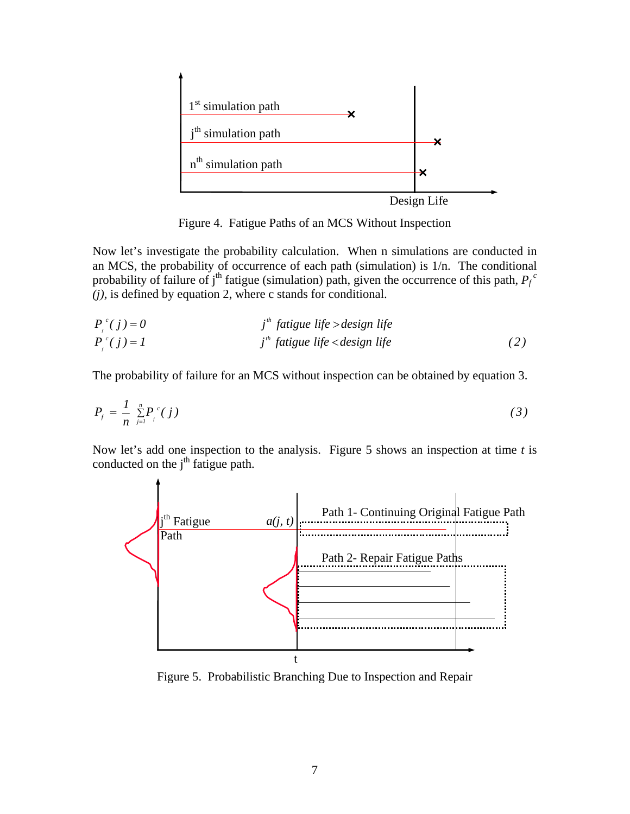

Figure 4. Fatigue Paths of an MCS Without Inspection

Now let's investigate the probability calculation. When n simulations are conducted in an MCS, the probability of occurrence of each path (simulation) is 1/n. The conditional probability of failure of j<sup>th</sup> fatigue (simulation) path, given the occurrence of this path,  $P_f^c$ *(j),* is defined by equation 2, where c stands for conditional.

$$
P_{j}^{c}(j) = 0
$$
  
\n
$$
P_{j}^{c}(j) = 1
$$
  
\n
$$
P_{j}^{c}(j) = 1
$$
  
\n
$$
j^{th}
$$
 fatigue life  $design life$   
\n
$$
j^{th}
$$
 fatigue life  $design life$  (2)

The probability of failure for an MCS without inspection can be obtained by equation 3.

$$
P_f = \frac{1}{n} \sum_{j=1}^{n} P_j^c(j)
$$
 (3)

Now let's add one inspection to the analysis. Figure 5 shows an inspection at time *t* is conducted on the  $i<sup>th</sup>$  fatigue path.



Figure 5. Probabilistic Branching Due to Inspection and Repair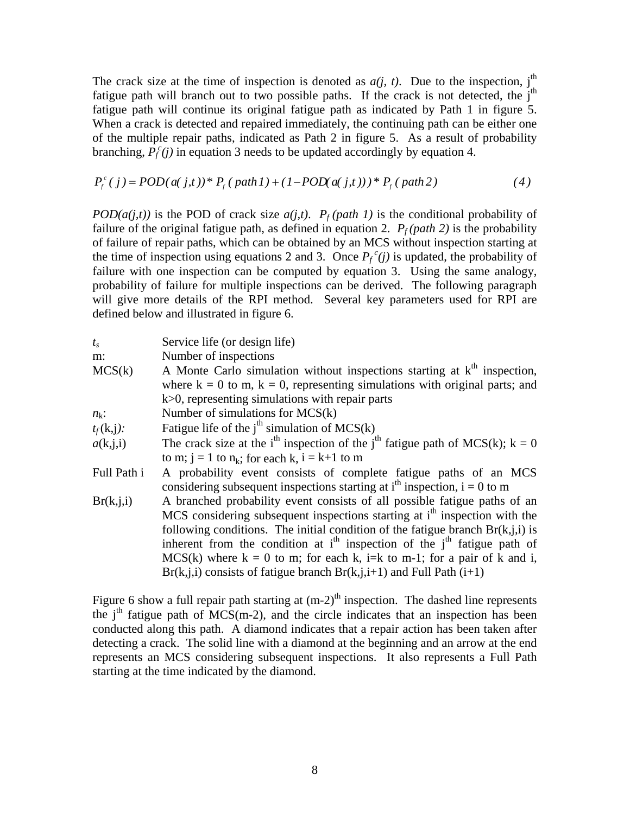The crack size at the time of inspection is denoted as  $a(j, t)$ . Due to the inspection, j<sup>th</sup> fatigue path will branch out to two possible paths. If the crack is not detected, the j<sup>th</sup> fatigue path will continue its original fatigue path as indicated by Path 1 in figure 5. When a crack is detected and repaired immediately, the continuing path can be either one of the multiple repair paths, indicated as Path 2 in figure 5. As a result of probability branching,  $P_f^c(j)$  in equation 3 needs to be updated accordingly by equation 4.

$$
P_f^c(j) = POD(a(j, t))^* P_f(path1) + (1 - POD(a(j, t)))^* P_f(path2)
$$
 (4)

*POD(a(j,t))* is the POD of crack size  $a(j,t)$ .  $P_f$ (path 1) is the conditional probability of failure of the original fatigue path, as defined in equation 2.  $P_f (path 2)$  is the probability of failure of repair paths, which can be obtained by an MCS without inspection starting at the time of inspection using equations 2 and 3. Once  $P_f^c(j)$  is updated, the probability of failure with one inspection can be computed by equation 3. Using the same analogy, probability of failure for multiple inspections can be derived. The following paragraph will give more details of the RPI method. Several key parameters used for RPI are defined below and illustrated in figure 6.

| $t_{\rm s}$  | Service life (or design life)                                                                           |
|--------------|---------------------------------------------------------------------------------------------------------|
| m:           | Number of inspections                                                                                   |
| MCS(k)       | A Monte Carlo simulation without inspections starting at $kth$ inspection,                              |
|              | where $k = 0$ to m, $k = 0$ , representing simulations with original parts; and                         |
|              | $k$ $>$ 0, representing simulations with repair parts                                                   |
| $n_k$ :      | Number of simulations for $MCS(k)$                                                                      |
| $t_f(k,j)$ : | Fatigue life of the $jth$ simulation of MCS(k)                                                          |
| a(k, j, i)   | The crack size at the i <sup>th</sup> inspection of the j <sup>th</sup> fatigue path of MCS(k); $k = 0$ |
|              | to m; $j = 1$ to $n_k$ ; for each k, $i = k+1$ to m                                                     |
| Full Path i  | A probability event consists of complete fatigue paths of an MCS                                        |
|              | considering subsequent inspections starting at $ith$ inspection, $i = 0$ to m                           |
| Br(k, j, i)  | A branched probability event consists of all possible fatigue paths of an                               |
|              | MCS considering subsequent inspections starting at i <sup>th</sup> inspection with the                  |
|              | following conditions. The initial condition of the fatigue branch $Br(k, j, i)$ is                      |
|              | inherent from the condition at $ith$ inspection of the $ith$ fatigue path of                            |
|              | MCS(k) where $k = 0$ to m; for each k, i=k to m-1; for a pair of k and i,                               |
|              | $Br(k, j, i)$ consists of fatigue branch $Br(k, j, i+1)$ and Full Path $(i+1)$                          |

Figure 6 show a full repair path starting at  $(m-2)^{th}$  inspection. The dashed line represents the  $j<sup>th</sup>$  fatigue path of MCS(m-2), and the circle indicates that an inspection has been conducted along this path. A diamond indicates that a repair action has been taken after detecting a crack. The solid line with a diamond at the beginning and an arrow at the end represents an MCS considering subsequent inspections. It also represents a Full Path starting at the time indicated by the diamond.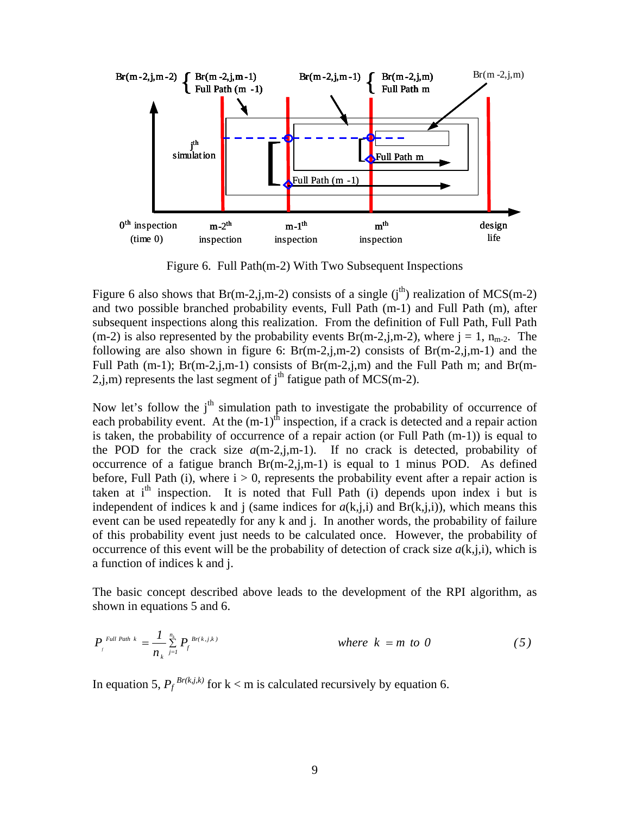

Figure 6. Full Path(m-2) With Two Subsequent Inspections

Figure 6 also shows that Br(m-2,j,m-2) consists of a single (j<sup>th</sup>) realization of MCS(m-2) and two possible branched probability events, Full Path (m-1) and Full Path (m), after subsequent inspections along this realization. From the definition of Full Path, Full Path  $(m-2)$  is also represented by the probability events Br(m-2,j,m-2), where  $j = 1$ , n<sub>m-2</sub>. The following are also shown in figure 6:  $Br(m-2,j,m-2)$  consists of  $Br(m-2,j,m-1)$  and the Full Path (m-1);  $Br(m-2,j,m-1)$  consists of  $Br(m-2,j,m)$  and the Full Path m; and  $Br(m-1)$ 2,j,m) represents the last segment of  $j<sup>th</sup>$  fatigue path of MCS(m-2).

Now let's follow the j<sup>th</sup> simulation path to investigate the probability of occurrence of each probability event. At the  $(m-1)^{th}$  inspection, if a crack is detected and a repair action is taken, the probability of occurrence of a repair action (or Full Path (m-1)) is equal to the POD for the crack size  $a(m-2,j,m-1)$ . If no crack is detected, probability of occurrence of a fatigue branch  $Br(m-2,i,m-1)$  is equal to 1 minus POD. As defined before, Full Path (i), where  $i > 0$ , represents the probability event after a repair action is taken at  $i<sup>th</sup>$  inspection. It is noted that Full Path (i) depends upon index i but is independent of indices k and j (same indices for  $a(k,j,i)$ ) and  $Br(k,j,i)$ ), which means this event can be used repeatedly for any k and j. In another words, the probability of failure of this probability event just needs to be calculated once. However, the probability of occurrence of this event will be the probability of detection of crack size  $a(k,i,i)$ , which is a function of indices k and j.

The basic concept described above leads to the development of the RPI algorithm, as shown in equations 5 and 6.

$$
P_{f}^{Full Path k} = \frac{1}{n_k} \sum_{j=1}^{n_k} P_{f}^{Br(k,j,k)}
$$
 where  $k = m$  to 0 (5)

In equation 5,  $P_f^{Br(k,j,k)}$  for  $k < m$  is calculated recursively by equation 6.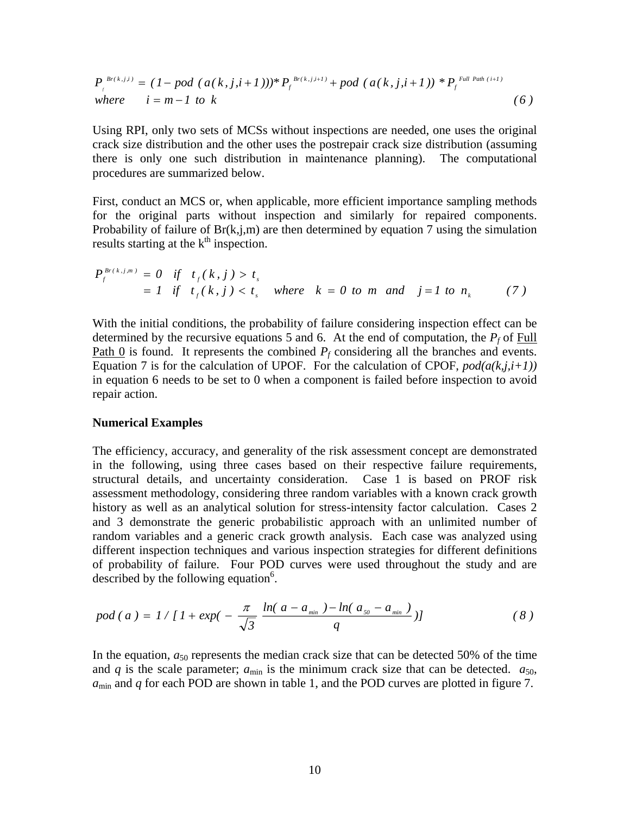$$
P_{f}^{Br(k,j,i)} = (1 - pod (a(k,j,i+1)))^{*} P_{f}^{Br(k,j,i+1)} + pod (a(k,j,i+1))^{*} P_{f}^{Full Path (i+1)}
$$
  
where  $i = m-1$  to k (6)

Using RPI, only two sets of MCSs without inspections are needed, one uses the original crack size distribution and the other uses the postrepair crack size distribution (assuming there is only one such distribution in maintenance planning). The computational procedures are summarized below.

First, conduct an MCS or, when applicable, more efficient importance sampling methods for the original parts without inspection and similarly for repaired components. Probability of failure of  $Br(k,j,m)$  are then determined by equation 7 using the simulation results starting at the  $k<sup>th</sup>$  inspection.

$$
P_f^{Br(k,j,m)} = 0 \quad \text{if} \quad t_f(k,j) > t_s
$$
\n
$$
= 1 \quad \text{if} \quad t_f(k,j) < t_s \quad \text{where} \quad k = 0 \quad \text{to} \quad m \quad \text{and} \quad j = 1 \quad \text{to} \quad n_k \tag{7}
$$

With the initial conditions, the probability of failure considering inspection effect can be determined by the recursive equations 5 and 6. At the end of computation, the  $P_f$  of Full <u>Path 0</u> is found. It represents the combined  $P_f$  considering all the branches and events. Equation 7 is for the calculation of UPOF. For the calculation of CPOF,  $pod(a(k,j,i+1))$ in equation 6 needs to be set to 0 when a component is failed before inspection to avoid repair action.

#### **Numerical Examples**

The efficiency, accuracy, and generality of the risk assessment concept are demonstrated in the following, using three cases based on their respective failure requirements, structural details, and uncertainty consideration. Case 1 is based on PROF risk assessment methodology, considering three random variables with a known crack growth history as well as an analytical solution for stress-intensity factor calculation. Cases 2 and 3 demonstrate the generic probabilistic approach with an unlimited number of random variables and a generic crack growth analysis. Each case was analyzed using different inspection techniques and various inspection strategies for different definitions of probability of failure. Four POD curves were used throughout the study and are described by the following equation $6$ .

$$
pod(a) = 1/[1 + exp(-\frac{\pi}{\sqrt{3}}\frac{ln(a - a_{min}) - ln(a_{so} - a_{min})}{q})]
$$
 (8)

In the equation,  $a_{50}$  represents the median crack size that can be detected 50% of the time and *q* is the scale parameter;  $a_{\text{min}}$  is the minimum crack size that can be detected.  $a_{50}$ , *a*min and *q* for each POD are shown in table 1, and the POD curves are plotted in figure 7.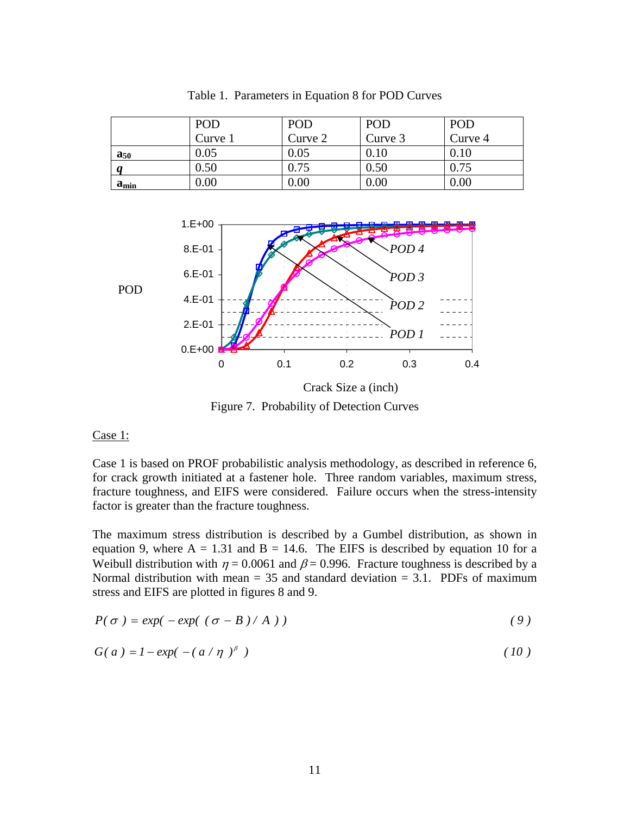|            | POD     | POD     | POD      | POD      |
|------------|---------|---------|----------|----------|
|            | Curve 1 | Curve 2 | Curve 3  | Curve 4  |
| $a_{50}$   | 0.05    | 0.05    | 0.10     | $0.10\,$ |
|            | 0.50    | 0.75    | $0.50\,$ | 0.75     |
| $a_{\min}$ | 0.00    | 0.00    | 0.00     | $0.00\,$ |

Table 1. Parameters in Equation 8 for POD Curves



Figure 7. Probability of Detection Curves

### Case 1:

Case 1 is based on PROF probabilistic analysis methodology, as described in reference 6, for crack growth initiated at a fastener hole. Three random variables, maximum stress, fracture toughness, and EIFS were considered. Failure occurs when the stress-intensity factor is greater than the fracture toughness.

The maximum stress distribution is described by a Gumbel distribution, as shown in equation 9, where  $A = 1.31$  and  $B = 14.6$ . The EIFS is described by equation 10 for a Weibull distribution with  $\eta = 0.0061$  and  $\beta = 0.996$ . Fracture toughness is described by a Normal distribution with mean  $= 35$  and standard deviation  $= 3.1$ . PDFs of maximum stress and EIFS are plotted in figures 8 and 9.

$$
P(\sigma) = exp(-exp((\sigma - B)/A))
$$
\n(9)

$$
G(a) = 1 - exp(-\left(a/\eta\right)^{\beta})
$$
\n(10)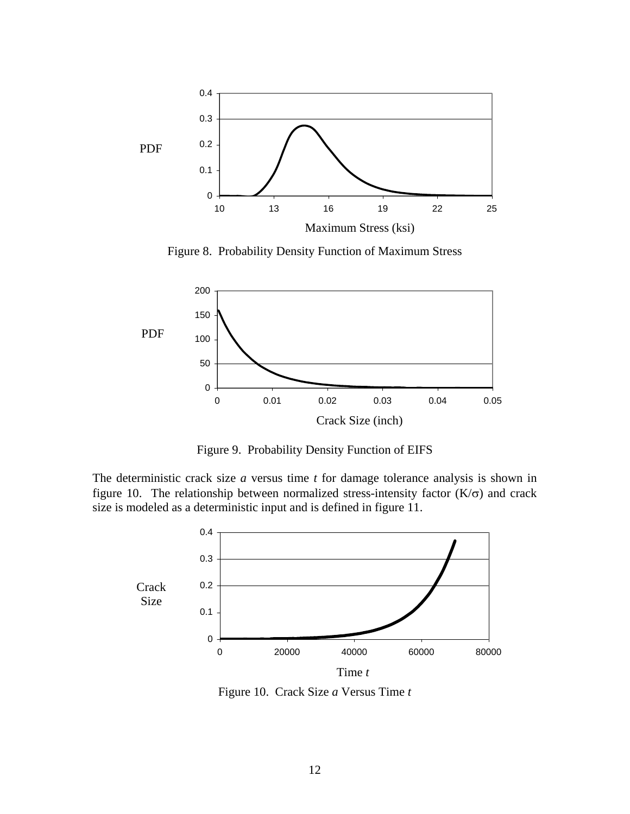

Figure 8. Probability Density Function of Maximum Stress



Figure 9. Probability Density Function of EIFS

The deterministic crack size *a* versus time *t* for damage tolerance analysis is shown in figure 10. The relationship between normalized stress-intensity factor  $(K/\sigma)$  and crack size is modeled as a deterministic input and is defined in figure 11.



Figure 10. Crack Size *a* Versus Time *t*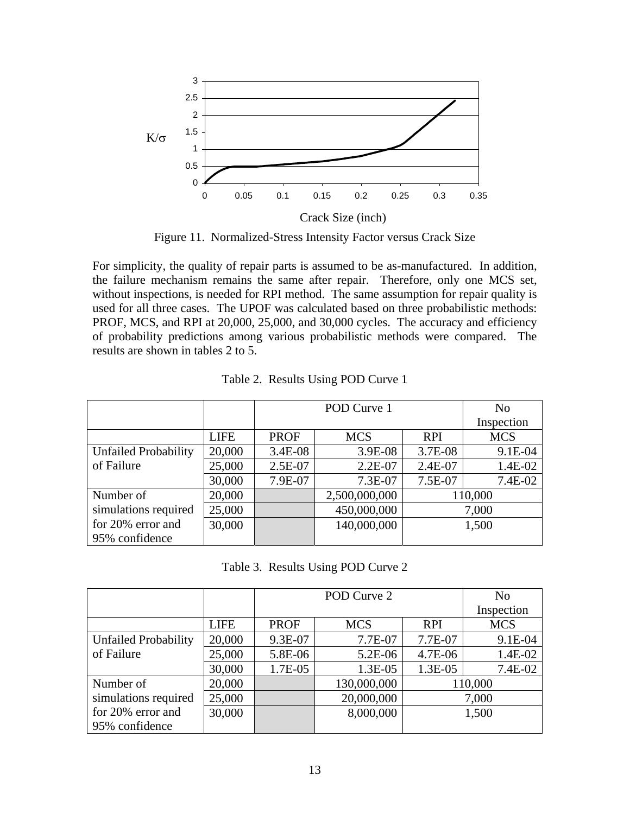

Figure 11. Normalized-Stress Intensity Factor versus Crack Size

For simplicity, the quality of repair parts is assumed to be as-manufactured. In addition, the failure mechanism remains the same after repair. Therefore, only one MCS set, without inspections, is needed for RPI method. The same assumption for repair quality is used for all three cases. The UPOF was calculated based on three probabilistic methods: PROF, MCS, and RPI at 20,000, 25,000, and 30,000 cycles. The accuracy and efficiency of probability predictions among various probabilistic methods were compared. The results are shown in tables 2 to 5.

|                             |             |             | POD Curve 1   |            | N <sub>0</sub> |
|-----------------------------|-------------|-------------|---------------|------------|----------------|
|                             |             |             |               |            | Inspection     |
|                             | <b>LIFE</b> | <b>PROF</b> | <b>MCS</b>    | <b>RPI</b> | <b>MCS</b>     |
| <b>Unfailed Probability</b> | 20,000      | 3.4E-08     | 3.9E-08       | 3.7E-08    | 9.1E-04        |
| of Failure                  | 25,000      | 2.5E-07     | $2.2E-07$     | 2.4E-07    | 1.4E-02        |
|                             | 30,000      | 7.9E-07     | 7.3E-07       | 7.5E-07    | 7.4E-02        |
| Number of                   | 20,000      |             | 2,500,000,000 |            | 110,000        |
| simulations required        | 25,000      |             | 450,000,000   |            | 7,000          |
| for 20% error and           | 30,000      |             | 140,000,000   |            | 1,500          |
| 95% confidence              |             |             |               |            |                |

| Table 2. Results Using POD Curve 1 |  |  |  |  |  |
|------------------------------------|--|--|--|--|--|
|------------------------------------|--|--|--|--|--|

| Table 3. Results Using POD Curve 2 |  |  |  |  |
|------------------------------------|--|--|--|--|
|------------------------------------|--|--|--|--|

|                             |             | POD Curve 2 |             |            | N <sub>0</sub> |
|-----------------------------|-------------|-------------|-------------|------------|----------------|
|                             |             |             |             |            | Inspection     |
|                             | <b>LIFE</b> | <b>PROF</b> | <b>MCS</b>  | <b>RPI</b> | <b>MCS</b>     |
| <b>Unfailed Probability</b> | 20,000      | 9.3E-07     | 7.7E-07     | 7.7E-07    | 9.1E-04        |
| of Failure                  | 25,000      | 5.8E-06     | 5.2E-06     | 4.7E-06    | 1.4E-02        |
|                             | 30,000      | 1.7E-05     | 1.3E-05     | 1.3E-05    | 7.4E-02        |
| Number of                   | 20,000      |             | 130,000,000 |            | 110,000        |
| simulations required        | 25,000      |             | 20,000,000  |            | 7,000          |
| for 20% error and           | 30,000      |             | 8,000,000   |            | 1,500          |
| 95% confidence              |             |             |             |            |                |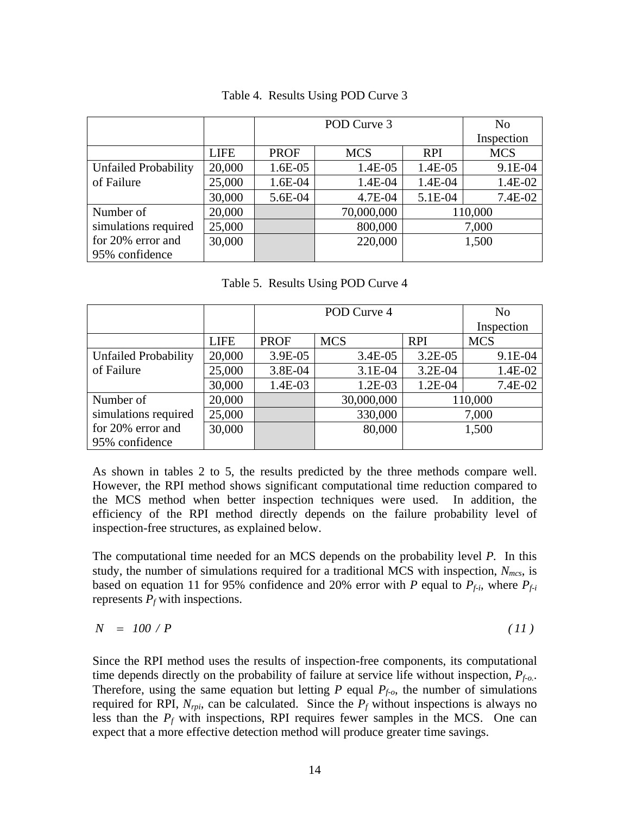|                             |             | POD Curve 3 |            |            | No         |
|-----------------------------|-------------|-------------|------------|------------|------------|
|                             |             |             |            |            | Inspection |
|                             | <b>LIFE</b> | <b>PROF</b> | <b>MCS</b> | <b>RPI</b> | <b>MCS</b> |
| <b>Unfailed Probability</b> | 20,000      | 1.6E-05     | 1.4E-05    | 1.4E-05    | 9.1E-04    |
| of Failure                  | 25,000      | 1.6E-04     | 1.4E-04    | 1.4E-04    | 1.4E-02    |
|                             | 30,000      | 5.6E-04     | 4.7E-04    | 5.1E-04    | 7.4E-02    |
| Number of                   | 20,000      |             | 70,000,000 |            | 110,000    |
| simulations required        | 25,000      |             | 800,000    |            | 7,000      |
| for 20% error and           | 30,000      |             | 220,000    |            | 1,500      |
| 95% confidence              |             |             |            |            |            |

### Table 4. Results Using POD Curve 3

Table 5. Results Using POD Curve 4

|                             |             | POD Curve 4 |            |            | N <sub>0</sub> |
|-----------------------------|-------------|-------------|------------|------------|----------------|
|                             |             |             |            |            | Inspection     |
|                             | <b>LIFE</b> | <b>PROF</b> | <b>MCS</b> | <b>RPI</b> | <b>MCS</b>     |
| <b>Unfailed Probability</b> | 20,000      | 3.9E-05     | $3.4E-05$  | $3.2E-05$  | 9.1E-04        |
| of Failure                  | 25,000      | 3.8E-04     | $3.1E-04$  | $3.2E-04$  | 1.4E-02        |
|                             | 30,000      | 1.4E-03     | 1.2E-03    | 1.2E-04    | 7.4E-02        |
| Number of                   | 20,000      |             | 30,000,000 |            | 110,000        |
| simulations required        | 25,000      |             | 330,000    |            | 7,000          |
| for 20% error and           | 30,000      |             | 80,000     |            | 1,500          |
| 95% confidence              |             |             |            |            |                |

As shown in tables 2 to 5, the results predicted by the three methods compare well. However, the RPI method shows significant computational time reduction compared to the MCS method when better inspection techniques were used. In addition, the efficiency of the RPI method directly depends on the failure probability level of inspection-free structures, as explained below.

The computational time needed for an MCS depends on the probability level *P.* In this study, the number of simulations required for a traditional MCS with inspection,  $N_{mcs}$ , is based on equation 11 for 95% confidence and 20% error with *P* equal to  $P_{f-i}$ , where  $P_{f-i}$ represents  $P_f$  with inspections.

$$
N = 100 / P \tag{11}
$$

Since the RPI method uses the results of inspection-free components, its computational time depends directly on the probability of failure at service life without inspection, *Pf-o.*. Therefore, using the same equation but letting  $P$  equal  $P_{f,o}$ , the number of simulations required for RPI,  $N_{rpi}$ , can be calculated. Since the  $P_f$  without inspections is always no less than the  $P_f$  with inspections, RPI requires fewer samples in the MCS. One can expect that a more effective detection method will produce greater time savings.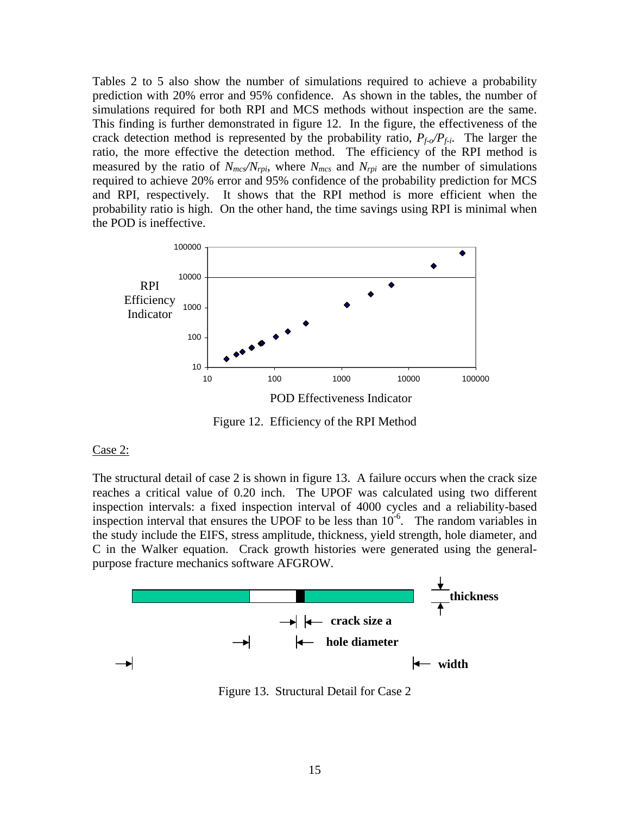Tables 2 to 5 also show the number of simulations required to achieve a probability prediction with 20% error and 95% confidence. As shown in the tables, the number of simulations required for both RPI and MCS methods without inspection are the same. This finding is further demonstrated in figure 12. In the figure, the effectiveness of the crack detection method is represented by the probability ratio,  $P_{f\phi}/P_{f\phi}$ . The larger the ratio, the more effective the detection method. The efficiency of the RPI method is measured by the ratio of  $N_{mcs}/N_{rpi}$ , where  $N_{mcs}$  and  $N_{rpi}$  are the number of simulations required to achieve 20% error and 95% confidence of the probability prediction for MCS and RPI, respectively. It shows that the RPI method is more efficient when the probability ratio is high. On the other hand, the time savings using RPI is minimal when the POD is ineffective.



Figure 12. Efficiency of the RPI Method

#### Case 2:

The structural detail of case 2 is shown in figure 13. A failure occurs when the crack size reaches a critical value of 0.20 inch. The UPOF was calculated using two different inspection intervals: a fixed inspection interval of 4000 cycles and a reliability-based inspection interval that ensures the UPOF to be less than  $10^{-6}$ . The random variables in the study include the EIFS, stress amplitude, thickness, yield strength, hole diameter, and C in the Walker equation. Crack growth histories were generated using the generalpurpose fracture mechanics software AFGROW.



Figure 13. Structural Detail for Case 2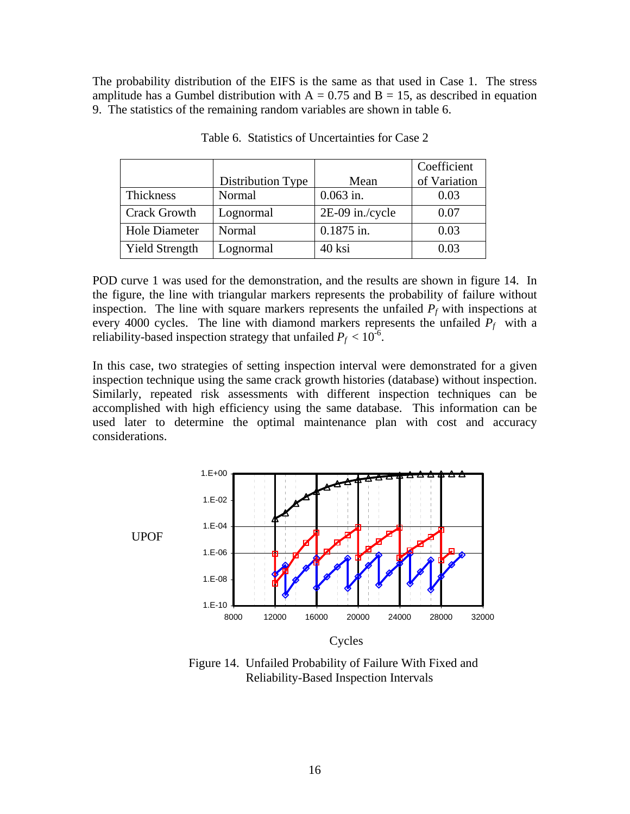The probability distribution of the EIFS is the same as that used in Case 1. The stress amplitude has a Gumbel distribution with  $A = 0.75$  and  $B = 15$ , as described in equation 9. The statistics of the remaining random variables are shown in table 6.

|                       |                   |                 | Coefficient  |
|-----------------------|-------------------|-----------------|--------------|
|                       | Distribution Type | Mean            | of Variation |
| Thickness             | Normal            | $0.063$ in.     | 0.03         |
| <b>Crack Growth</b>   | Lognormal         | 2E-09 in./cycle | 0.07         |
| Hole Diameter         | Normal            | $0.1875$ in.    | 0.03         |
| <b>Yield Strength</b> | Lognormal         | 40 ksi          | 0.03         |

Table 6. Statistics of Uncertainties for Case 2

POD curve 1 was used for the demonstration, and the results are shown in figure 14. In the figure, the line with triangular markers represents the probability of failure without inspection. The line with square markers represents the unfailed  $P_f$  with inspections at every 4000 cycles. The line with diamond markers represents the unfailed  $P_f$  with a reliability-based inspection strategy that unfailed  $P_f < 10^{-6}$ .

In this case, two strategies of setting inspection interval were demonstrated for a given inspection technique using the same crack growth histories (database) without inspection. Similarly, repeated risk assessments with different inspection techniques can be accomplished with high efficiency using the same database. This information can be used later to determine the optimal maintenance plan with cost and accuracy considerations.



Figure 14. Unfailed Probability of Failure With Fixed and Reliability-Based Inspection Intervals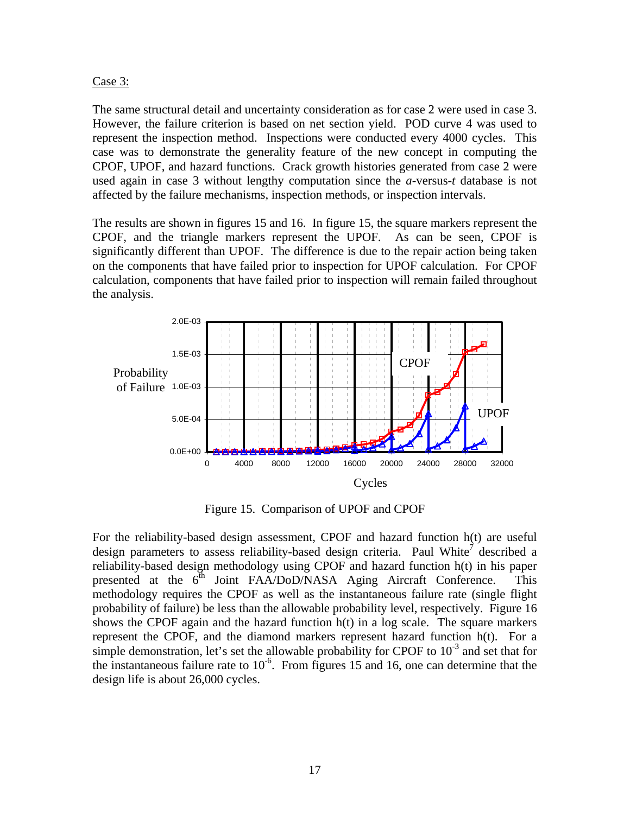## Case 3:

The same structural detail and uncertainty consideration as for case 2 were used in case 3. However, the failure criterion is based on net section yield. POD curve 4 was used to represent the inspection method. Inspections were conducted every 4000 cycles. This case was to demonstrate the generality feature of the new concept in computing the CPOF, UPOF, and hazard functions. Crack growth histories generated from case 2 were used again in case 3 without lengthy computation since the *a*-versus-*t* database is not affected by the failure mechanisms, inspection methods, or inspection intervals.

The results are shown in figures 15 and 16. In figure 15, the square markers represent the CPOF, and the triangle markers represent the UPOF. As can be seen, CPOF is significantly different than UPOF. The difference is due to the repair action being taken on the components that have failed prior to inspection for UPOF calculation. For CPOF calculation, components that have failed prior to inspection will remain failed throughout the analysis.



Figure 15. Comparison of UPOF and CPOF

For the reliability-based design assessment, CPOF and hazard function h(t) are useful design parameters to assess reliability-based design criteria. Paul White<sup>7</sup> described a reliability-based design methodology using CPOF and hazard function h(t) in his paper presented at the  $6<sup>th</sup>$  Joint FAA/DoD/NASA Aging Aircraft Conference. This methodology requires the CPOF as well as the instantaneous failure rate (single flight probability of failure) be less than the allowable probability level, respectively. Figure 16 shows the CPOF again and the hazard function h(t) in a log scale. The square markers represent the CPOF, and the diamond markers represent hazard function h(t). For a simple demonstration, let's set the allowable probability for CPOF to  $10^{-3}$  and set that for the instantaneous failure rate to  $10^{-6}$ . From figures 15 and 16, one can determine that the design life is about 26,000 cycles.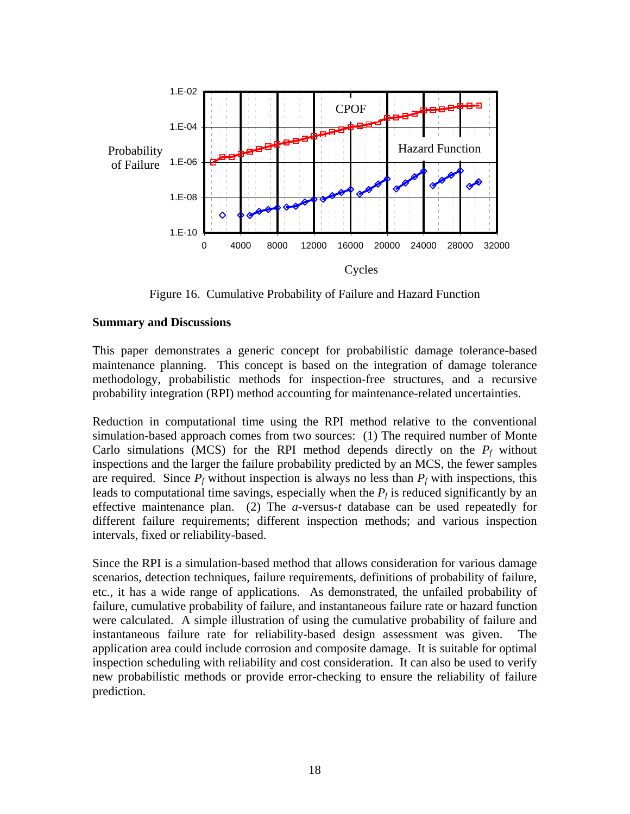

Figure 16. Cumulative Probability of Failure and Hazard Function

## **Summary and Discussions**

This paper demonstrates a generic concept for probabilistic damage tolerance-based maintenance planning. This concept is based on the integration of damage tolerance methodology, probabilistic methods for inspection-free structures, and a recursive probability integration (RPI) method accounting for maintenance-related uncertainties.

Reduction in computational time using the RPI method relative to the conventional simulation-based approach comes from two sources: (1) The required number of Monte Carlo simulations (MCS) for the RPI method depends directly on the  $P_f$  without inspections and the larger the failure probability predicted by an MCS, the fewer samples are required. Since  $P_f$  without inspection is always no less than  $P_f$  with inspections, this leads to computational time savings, especially when the  $P_f$  is reduced significantly by an effective maintenance plan. (2) The *a*-versus-*t* database can be used repeatedly for different failure requirements; different inspection methods; and various inspection intervals, fixed or reliability-based.

Since the RPI is a simulation-based method that allows consideration for various damage scenarios, detection techniques, failure requirements, definitions of probability of failure, etc., it has a wide range of applications. As demonstrated, the unfailed probability of failure, cumulative probability of failure, and instantaneous failure rate or hazard function were calculated. A simple illustration of using the cumulative probability of failure and instantaneous failure rate for reliability-based design assessment was given. The application area could include corrosion and composite damage. It is suitable for optimal inspection scheduling with reliability and cost consideration. It can also be used to verify new probabilistic methods or provide error-checking to ensure the reliability of failure prediction.